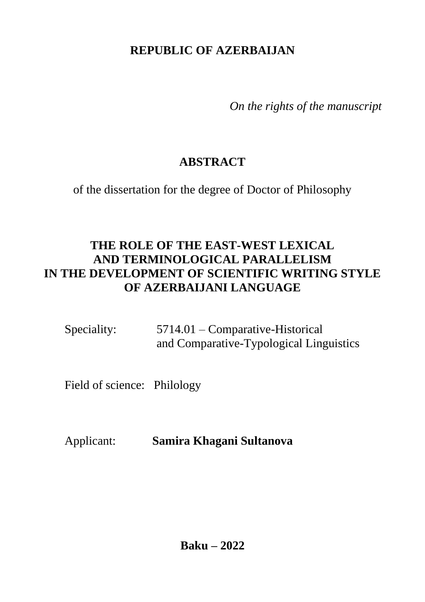## **REPUBLIC OF AZERBAIJAN**

*On the rights of the manuscript*

# **ABSTRACT**

of the dissertation for the degree of Doctor of Philosophy

## **THE ROLE OF THE EAST-WEST LEXICAL AND TERMINOLOGICAL PARALLELISM IN THE DEVELOPMENT OF SCIENTIFIC WRITING STYLE OF AZERBAIJANI LANGUAGE**

Speciality: 5714.01 – Comparative-Historical and Comparative-Typological Linguistics

Field of science: Philology

Applicant: **Samira Khagani Sultanova**

**Baku – 2022**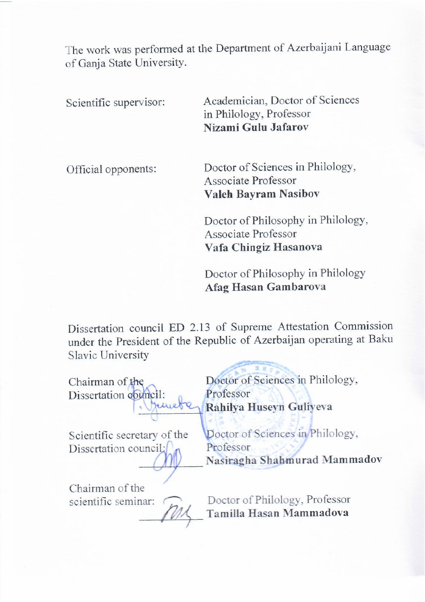The work was performed at the Department of Azerbaijani Language of Ganja State University.

Scientific supervisor:<br> **Academician, Doctor of Sciences**<br> **in Philology, Professor** m Philology, Professor **Nizami Gulu Jafarov**

Official opponents:<br>Associate Professor<br>Associate Professor Valeh Bayram Nasibov **Valeh Bayram Nasibov**

> Doctor of Philosophy in Philology, Associate Professor Vafa Chingiz Hasanova

Afag Hasan Gambarova

Dissertation council ED 2.13 of Supreme Attestation Commission under the President of the Republic of Azerbaijan operating at Baku Slavic University

Chairman of the Dissertation obimeil: Professor<br>Rahilya Huseyn Guliyeva Rami

Doctor of Sciences in Philology,

Dissertation council:Professor

Scientific secretary of the **Doctor of Sciences in Philology**, Dissertation council: Professor<br>Nasiragha Shahmurad Mammadov

 \_\_\_\_\_\_\_\_\_\_\_ **Nasiragha Shahmurad Mammadov** scientific seminar: Chairman of the

Doctor of Philology, Professor scientific seminar:Doctor of Philology, Professor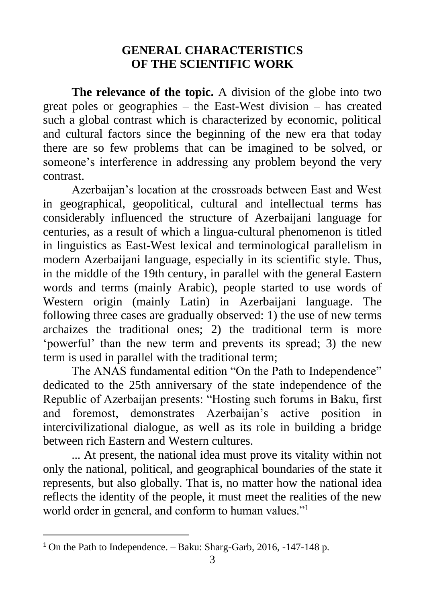#### **GENERAL CHARACTERISTICS OF THE SCIENTIFIC WORK**

**The relevance of the topic.** A division of the globe into two great poles or geographies – the East-West division – has created such a global contrast which is characterized by economic, political and cultural factors since the beginning of the new era that today there are so few problems that can be imagined to be solved, or someone's interference in addressing any problem beyond the very contrast.

Azerbaijan's location at the crossroads between East and West in geographical, geopolitical, cultural and intellectual terms has considerably influenced the structure of Azerbaijani language for centuries, as a result of which a lingua-cultural phenomenon is titled in linguistics as East-West lexical and terminological parallelism in modern Azerbaijani language, especially in its scientific style. Thus, in the middle of the 19th century, in parallel with the general Eastern words and terms (mainly Arabic), people started to use words of Western origin (mainly Latin) in Azerbaijani language. The following three cases are gradually observed: 1) the use of new terms archaizes the traditional ones; 2) the traditional term is more 'powerful' than the new term and prevents its spread; 3) the new term is used in parallel with the traditional term;

The ANAS fundamental edition "On the Path to Independence" dedicated to the 25th anniversary of the state independence of the Republic of Azerbaijan presents: "Hosting such forums in Baku, first and foremost, demonstrates Azerbaijan's active position in intercivilizational dialogue, as well as its role in building a bridge between rich Eastern and Western cultures.

... At present, the national idea must prove its vitality within not only the national, political, and geographical boundaries of the state it represents, but also globally. That is, no matter how the national idea reflects the identity of the people, it must meet the realities of the new world order in general, and conform to human values."<sup>1</sup>

 $1$  On the Path to Independence. – Baku: Sharg-Garb, 2016,  $-147-148$  p.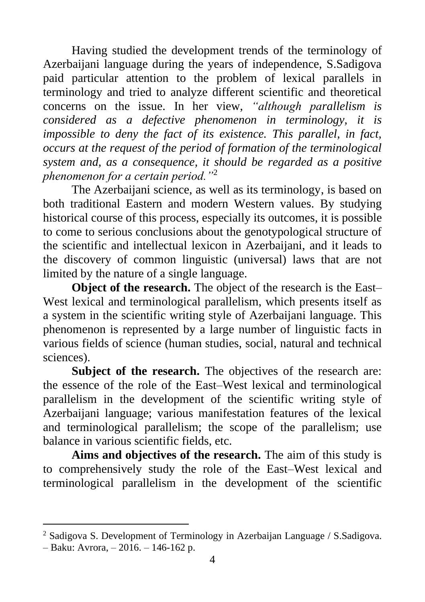Having studied the development trends of the terminology of Azerbaijani language during the years of independence, S.Sadigova paid particular attention to the problem of lexical parallels in terminology and tried to analyze different scientific and theoretical concerns on the issue. In her view, *"although parallelism is considered as a defective phenomenon in terminology, it is impossible to deny the fact of its existence. This parallel, in fact, occurs at the request of the period of formation of the terminological system and, as a consequence, it should be regarded as a positive phenomenon for a certain period."*<sup>2</sup>

The Azerbaijani science, as well as its terminology, is based on both traditional Eastern and modern Western values. By studying historical course of this process, especially its outcomes, it is possible to come to serious conclusions about the genotypological structure of the scientific and intellectual lexicon in Azerbaijani, and it leads to the discovery of common linguistic (universal) laws that are not limited by the nature of a single language.

**Object of the research.** The object of the research is the East– West lexical and terminological parallelism, which presents itself as a system in the scientific writing style of Azerbaijani language. This phenomenon is represented by a large number of linguistic facts in various fields of science (human studies, social, natural and technical sciences).

**Subject of the research.** The objectives of the research are: the essence of the role of the East–West lexical and terminological parallelism in the development of the scientific writing style of Azerbaijani language; various manifestation features of the lexical and terminological parallelism; the scope of the parallelism; use balance in various scientific fields, etc.

**Aims and objectives of the research.** The aim of this study is to comprehensively study the role of the East–West lexical and terminological parallelism in the development of the scientific

<sup>2</sup> Sadigova S. Development of Terminology in Azerbaijan Language / S.Sadigova.

<sup>–</sup> Baku: Avrora, – 2016. – 146-162 p.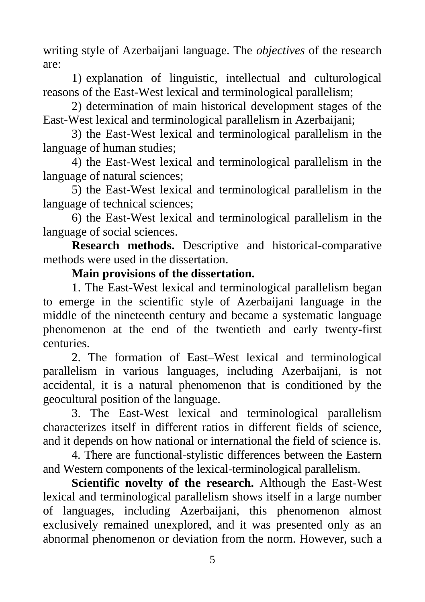writing style of Azerbaijani language. The *objectives* of the research are:

1) explanation of linguistic, intellectual and culturological reasons of the East-West lexical and terminological parallelism;

2) determination of main historical development stages of the East-West lexical and terminological parallelism in Azerbaijani;

3) the East-West lexical and terminological parallelism in the language of human studies;

4) the East-West lexical and terminological parallelism in the language of natural sciences;

5) the East-West lexical and terminological parallelism in the language of technical sciences;

6) the East-West lexical and terminological parallelism in the language of social sciences.

**Research methods.** Descriptive and historical-comparative methods were used in the dissertation.

#### **Main provisions of the dissertation.**

1. The East-West lexical and terminological parallelism began to emerge in the scientific style of Azerbaijani language in the middle of the nineteenth century and became a systematic language phenomenon at the end of the twentieth and early twenty-first centuries.

2. The formation of East–West lexical and terminological parallelism in various languages, including Azerbaijani, is not accidental, it is a natural phenomenon that is conditioned by the geocultural position of the language.

3. The East-West lexical and terminological parallelism characterizes itself in different ratios in different fields of science, and it depends on how national or international the field of science is.

4. There are functional-stylistic differences between the Eastern and Western components of the lexical-terminological parallelism.

**Scientific novelty of the research.** Although the East-West lexical and terminological parallelism shows itself in a large number of languages, including Azerbaijani, this phenomenon almost exclusively remained unexplored, and it was presented only as an abnormal phenomenon or deviation from the norm. However, such a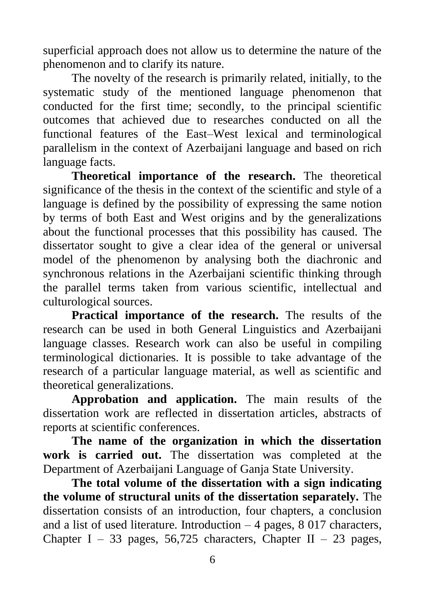superficial approach does not allow us to determine the nature of the phenomenon and to clarify its nature.

The novelty of the research is primarily related, initially, to the systematic study of the mentioned language phenomenon that conducted for the first time; secondly, to the principal scientific outcomes that achieved due to researches conducted on all the functional features of the East–West lexical and terminological parallelism in the context of Azerbaijani language and based on rich language facts.

**Theoretical importance of the research.** The theoretical significance of the thesis in the context of the scientific and style of a language is defined by the possibility of expressing the same notion by terms of both East and West origins and by the generalizations about the functional processes that this possibility has caused. The dissertator sought to give a clear idea of the general or universal model of the phenomenon by analysing both the diachronic and synchronous relations in the Azerbaijani scientific thinking through the parallel terms taken from various scientific, intellectual and culturological sources.

**Practical importance of the research.** The results of the research can be used in both General Linguistics and Azerbaijani language classes. Research work can also be useful in compiling terminological dictionaries. It is possible to take advantage of the research of a particular language material, as well as scientific and theoretical generalizations.

**Approbation and application.** The main results of the dissertation work are reflected in dissertation articles, abstracts of reports at scientific conferences.

**The name of the organization in which the dissertation work is carried out.** The dissertation was completed at the Department of Azerbaijani Language of Ganja State University.

**The total volume of the dissertation with a sign indicating the volume of structural units of the dissertation separately.** The dissertation consists of an introduction, four chapters, a conclusion and a list of used literature. Introduction  $-4$  pages, 8 017 characters, Chapter I – 33 pages, 56,725 characters, Chapter II – 23 pages,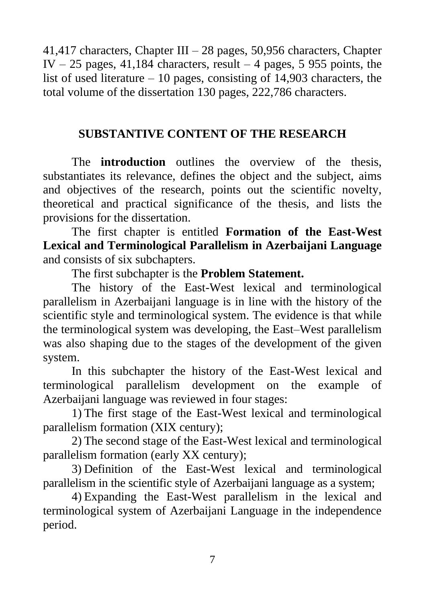41,417 characters, Chapter III – 28 pages, 50,956 characters, Chapter IV – 25 pages, 41,184 characters, result – 4 pages, 5 955 points, the list of used literature  $-10$  pages, consisting of 14,903 characters, the total volume of the dissertation 130 pages, 222,786 characters.

### **SUBSTANTIVE CONTENT OF THE RESEARCH**

The **introduction** outlines the overview of the thesis, substantiates its relevance, defines the object and the subject, aims and objectives of the research, points out the scientific novelty, theoretical and practical significance of the thesis, and lists the provisions for the dissertation.

The first chapter is entitled **Formation of the East-West Lexical and Terminological Parallelism in Azerbaijani Language**  and consists of six subchapters.

The first subchapter is the **Problem Statement.**

The history of the East-West lexical and terminological parallelism in Azerbaijani language is in line with the history of the scientific style and terminological system. The evidence is that while the terminological system was developing, the East–West parallelism was also shaping due to the stages of the development of the given system.

In this subchapter the history of the East-West lexical and terminological parallelism development on the example of Azerbaijani language was reviewed in four stages:

1) The first stage of the East-West lexical and terminological parallelism formation (XIX century);

2) The second stage of the East-West lexical and terminological parallelism formation (early XX century);

3) Definition of the East-West lexical and terminological parallelism in the scientific style of Azerbaijani language as a system;

4) Expanding the East-West parallelism in the lexical and terminological system of Azerbaijani Language in the independence period.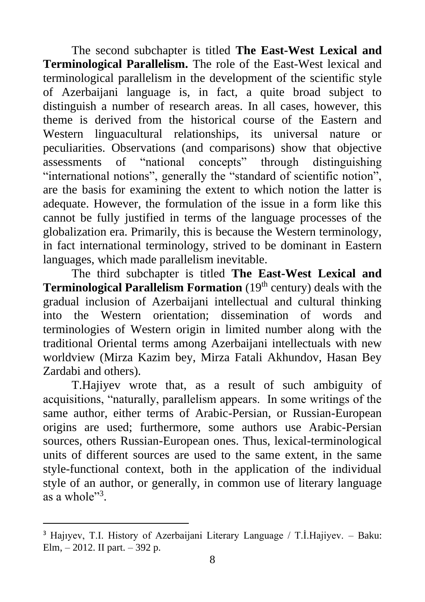The second subchapter is titled **The East-West Lexical and Terminological Parallelism.** The role of the East-West lexical and terminological parallelism in the development of the scientific style of Azerbaijani language is, in fact, a quite broad subject to distinguish a number of research areas. In all cases, however, this theme is derived from the historical course of the Eastern and Western linguacultural relationships, its universal nature or peculiarities. Observations (and comparisons) show that objective assessments of "national concepts" through distinguishing "international notions", generally the "standard of scientific notion", are the basis for examining the extent to which notion the latter is adequate. However, the formulation of the issue in a form like this cannot be fully justified in terms of the language processes of the globalization era. Primarily, this is because the Western terminology, in fact international terminology, strived to be dominant in Eastern languages, which made parallelism inevitable.

The third subchapter is titled **The East-West Lexical and Terminological Parallelism Formation** (19<sup>th</sup> century) deals with the gradual inclusion of Azerbaijani intellectual and cultural thinking into the Western orientation; dissemination of words and terminologies of Western origin in limited number along with the traditional Oriental terms among Azerbaijani intellectuals with new worldview (Mirza Kazim bey, Mirza Fatali Akhundov, Hasan Bey Zardabi and others).

T.Hajiyev wrote that, as a result of such ambiguity of acquisitions, "naturally, parallelism appears. In some writings of the same author, either terms of Arabic-Persian, or Russian-European origins are used; furthermore, some authors use Arabic-Persian sources, others Russian-European ones. Thus, lexical-terminological units of different sources are used to the same extent, in the same style-functional context, both in the application of the individual style of an author, or generally, in common use of literary language as a whole"<sup>3</sup>.

<sup>3</sup> Hajıyev, T.I. History of Azerbaijani Literary Language / T.İ.Hajiyev. – Baku: Elm, – 2012. II part. – 392 p.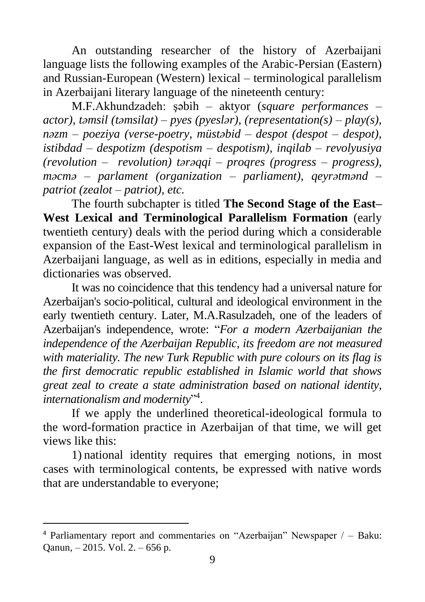An outstanding researcher of the history of Azerbaijani language lists the following examples of the Arabic-Persian (Eastern) and Russian-European (Western) lexical – terminological parallelism in Azerbaijani literary language of the nineteenth century:

M.F.Akhundzadeh: şəbih – aktyor (*square performances – actor), təmsil (təmsilat) – pyes (pyeslər), (representation(s) – play(s), nəzm – poeziya (verse-poetry, müstəbid – despot (despot – despot), istibdad – despotizm (despotism – despotism), inqilab – revolyusiya (revolution – revolution) tərəqqi – proqres (progress – progress), məcmə – parlament (organization – parliament), qeyrətmənd – patriot (zealot – patriot), etc.*

The fourth subchapter is titled **The Second Stage of the East– West Lexical and Terminological Parallelism Formation** (early twentieth century) deals with the period during which a considerable expansion of the East-West lexical and terminological parallelism in Azerbaijani language, as well as in editions, especially in media and dictionaries was observed.

It was no coincidence that this tendency had a universal nature for Azerbaijan's socio-political, cultural and ideological environment in the early twentieth century. Later, M.A.Rasulzadeh, one of the leaders of Azerbaijan's independence, wrote: "*For a modern Azerbaijanian the independence of the Azerbaijan Republic, its freedom are not measured with materiality. The new Turk Republic with pure colours on its flag is the first democratic republic established in Islamic world that shows great zeal to create a state administration based on national identity, internationalism and modernity*" 4 .

If we apply the underlined theoretical-ideological formula to the word-formation practice in Azerbaijan of that time, we will get views like this:

1) national identity requires that emerging notions, in most cases with terminological contents, be expressed with native words that are understandable to everyone;

<sup>&</sup>lt;sup>4</sup> Parliamentary report and commentaries on "Azerbaijan" Newspaper  $/ -$  Baku: Qanun, – 2015. Vol. 2. – 656 p.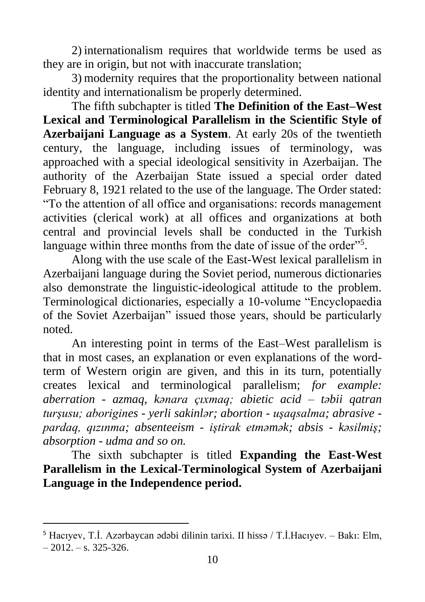2) internationalism requires that worldwide terms be used as they are in origin, but not with inaccurate translation;

3) modernity requires that the proportionality between national identity and internationalism be properly determined.

The fifth subchapter is titled **The Definition of the East–West Lexical and Terminological Parallelism in the Scientific Style of Azerbaijani Language as a System**. At early 20s of the twentieth century, the language, including issues of terminology, was approached with a special ideological sensitivity in Azerbaijan. The authority of the Azerbaijan State issued a special order dated February 8, 1921 related to the use of the language. The Order stated: "To the attention of all office and organisations: records management activities (clerical work) at all offices and organizations at both central and provincial levels shall be conducted in the Turkish language within three months from the date of issue of the order"<sup>5</sup>.

Along with the use scale of the East-West lexical parallelism in Azerbaijani language during the Soviet period, numerous dictionaries also demonstrate the linguistic-ideological attitude to the problem. Terminological dictionaries, especially a 10-volume "Encyclopaedia of the Soviet Azerbaijan" issued those years, should be particularly noted.

An interesting point in terms of the East–West parallelism is that in most cases, an explanation or even explanations of the wordterm of Western origin are given, and this in its turn, potentially creates lexical and terminological parallelism; *for example: aberration - azmaq, kənara çıxmaq; abietic acid – təbii qatran turşusu; aborigines - yerli sakinlər; abortion - uşaqsalma; abrasive pardaq, qızınma; absenteeism - iştirak etməmək; absis - kəsilmiş; absorption - udma and so on.*

The sixth subchapter is titled **Expanding the East-West Parallelism in the Lexical-Terminological System of Azerbaijani Language in the Independence period.**

<sup>5</sup> Hacıyev, T.İ. Azərbaycan ədəbi dilinin tarixi. II hissə / T.İ.Hacıyev. – Bakı: Elm,  $-2012 - s. 325 - 326.$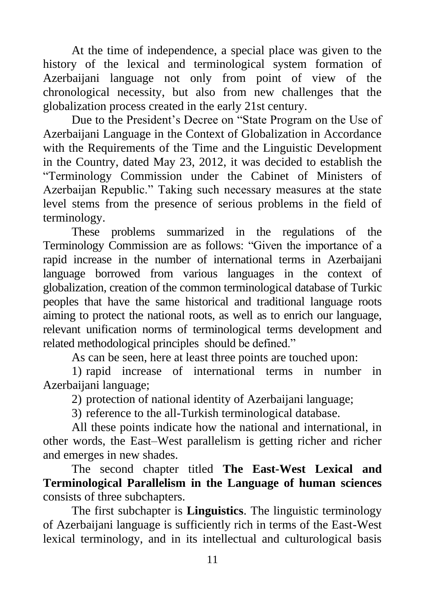At the time of independence, a special place was given to the history of the lexical and terminological system formation of Azerbaijani language not only from point of view of the chronological necessity, but also from new challenges that the globalization process created in the early 21st century.

Due to the President's Decree on "State Program on the Use of Azerbaijani Language in the Context of Globalization in Accordance with the Requirements of the Time and the Linguistic Development in the Country, dated May 23, 2012, it was decided to establish the "Terminology Commission under the Cabinet of Ministers of Azerbaijan Republic." Taking such necessary measures at the state level stems from the presence of serious problems in the field of terminology.

These problems summarized in the regulations of the Terminology Commission are as follows: "Given the importance of a rapid increase in the number of international terms in Azerbaijani language borrowed from various languages in the context of globalization, creation of the common terminological database of Turkic peoples that have the same historical and traditional language roots aiming to protect the national roots, as well as to enrich our language, relevant unification norms of terminological terms development and related methodological principles should be defined."

As can be seen, here at least three points are touched upon:

1) rapid increase of international terms in number in Azerbaijani language;

2) protection of national identity of Azerbaijani language;

3) reference to the all-Turkish terminological database.

All these points indicate how the national and international, in other words, the East–West parallelism is getting richer and richer and emerges in new shades.

The second chapter titled **The East-West Lexical and Terminological Parallelism in the Language of human sciences** consists of three subchapters.

The first subchapter is **Linguistics**. The linguistic terminology of Azerbaijani language is sufficiently rich in terms of the East-West lexical terminology, and in its intellectual and culturological basis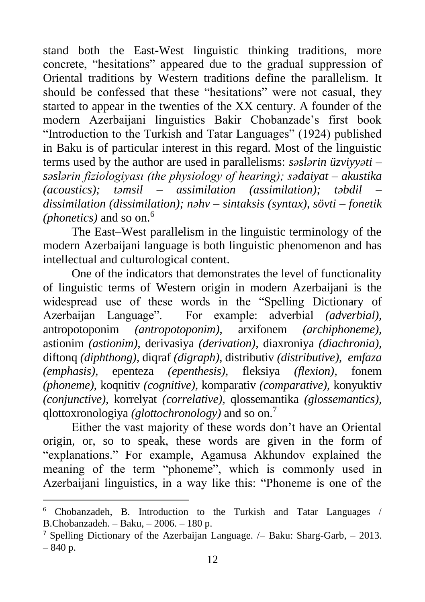stand both the East-West linguistic thinking traditions, more concrete, "hesitations" appeared due to the gradual suppression of Oriental traditions by Western traditions define the parallelism. It should be confessed that these "hesitations" were not casual, they started to appear in the twenties of the XX century. A founder of the modern Azerbaijani linguistics Bakir Chobanzade's first book "Introduction to the Turkish and Tatar Languages" (1924) published in Baku is of particular interest in this regard. Most of the linguistic terms used by the author are used in parallelisms: *səslərin üzviyyəti – səslərin fiziologiyası (the physiology of hearing); sədaiyat – akustika (acoustics); təmsil – assimilation (assimilation); təbdil – dissimilation (dissimilation); nəhv – sintaksis (syntax), sövti – fonetik (phonetics)* and so on.<sup>6</sup>

The East–West parallelism in the linguistic terminology of the modern Azerbaijani language is both linguistic phenomenon and has intellectual and culturological content.

One of the indicators that demonstrates the level of functionality of linguistic terms of Western origin in modern Azerbaijani is the widespread use of these words in the "Spelling Dictionary of Azerbaijan Language". For example: adverbial *(adverbial),*  antropotoponim *(antropotoponim),* arxifonem *(archiphoneme),*  astionim *(astionim),* derivasiya *(derivation),* diaxroniya *(diachronia),*  diftonq *(diphthong),* diqraf *(digraph),* distributiv *(distributive), emfaza (emphasis),* epenteza *(epenthesis),* fleksiya *(flexion),* fonem *(phoneme),* koqnitiv *(cognitive),* komparativ *(comparative),* konyuktiv *(conjunctive),* korrelyat *(correlative),* qlossemantika *(glossemantics),*  qlottoxronologiya *(glottochronology)* and so on.<sup>7</sup>

Either the vast majority of these words don't have an Oriental origin, or, so to speak, these words are given in the form of "explanations." For example, Agamusa Akhundov explained the meaning of the term "phoneme", which is commonly used in Azerbaijani linguistics, in a way like this: "Phoneme is one of the

<sup>6</sup> Chobanzadeh, B. Introduction to the Turkish and Tatar Languages / B.Chobanzadeh. – Baku, – 2006. – 180 p.

<sup>&</sup>lt;sup>7</sup> Spelling Dictionary of the Azerbaijan Language.  $/-$  Baku: Sharg-Garb,  $-$  2013. – 840 p.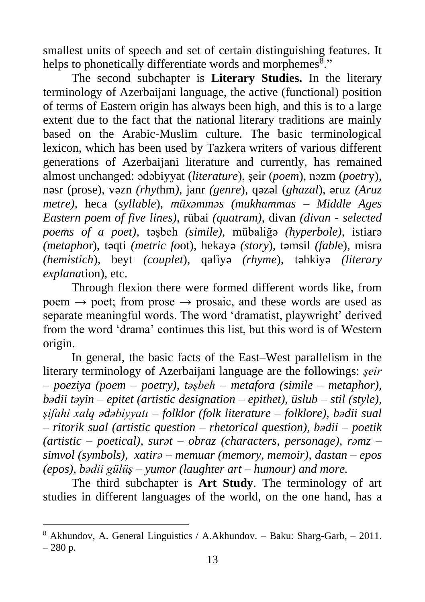smallest units of speech and set of certain distinguishing features. It helps to phonetically differentiate words and morphemes<sup>8</sup>."

The second subchapter is **Literary Studies.** In the literary terminology of Azerbaijani language, the active (functional) position of terms of Eastern origin has always been high, and this is to a large extent due to the fact that the national literary traditions are mainly based on the Arabic-Muslim culture. The basic terminological lexicon, which has been used by Tazkera writers of various different generations of Azerbaijani literature and currently, has remained almost unchanged: ədəbiyyat (*literature*), şeir (*poem*), nəzm (*poetr*y), nəsr (prose), vəzn *(rhyt*hm*)*, janr *(genre*), qəzəl (*ghazal*), əruz *(Aruz metre),* heca (*syllable*), *müxəmməs (mukhammas – Middle Ages Eastern poem of five lines),* rübai *(quatram),* divan *(divan - selected poems of a poet),* təşbeh *(simile),* mübaliğə *(hyperbole),* istiarə *(metapho*r), təqti *(metric fo*ot), hekayə *(story*), təmsil *(fabl*e), misra *(hemistich*), beyt *(couplet*), qafiyə *(rhyme*), təhkiyə *(literary explana*tion), etc.

Through flexion there were formed different words like, from poem  $\rightarrow$  poet; from prose  $\rightarrow$  prosaic, and these words are used as separate meaningful words. The word 'dramatist, playwright' derived from the word 'drama' continues this list, but this word is of Western origin.

In general, the basic facts of the East–West parallelism in the literary terminology of Azerbaijani language are the followings: *şeir*  – *poeziya (poem – poetry), təşbeh* – *metafora (simile – metaphor), bədii təyin – epitet (artistic designation – epithet), üslub – stil (style), şifahi xalq ədəbiyyatı – folklor (folk literature – folklore), bədii sual – ritorik sual (artistic question – rhetorical question), bədii – poetik (artistic – poetical), surət* – *obraz (characters, personage), rəmz* – *simvol (symbols), xatirə* – *memuar (memory, memoir), dastan* – *epos (epos), bədii gülüş* – *yumor (laughter art – humour) and more.*

The third subchapter is **Art Study**. The terminology of art studies in different languages of the world, on the one hand, has a

<sup>&</sup>lt;sup>8</sup> Akhundov, A. General Linguistics / A.Akhundov. – Baku: Sharg-Garb, – 2011.  $-280 p.$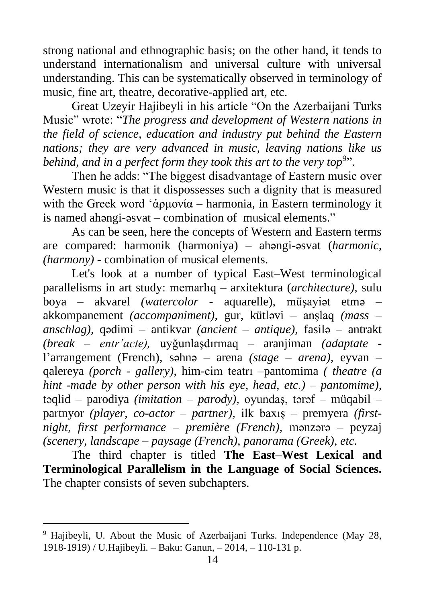strong national and ethnographic basis; on the other hand, it tends to understand internationalism and universal culture with universal understanding. This can be systematically observed in terminology of music, fine art, theatre, decorative-applied art, etc.

Great Uzeyir Hajibeyli in his article "On the Azerbaijani Turks Music" wrote: "*The progress and development of Western nations in the field of science, education and industry put behind the Eastern nations; they are very advanced in music, leaving nations like us*  behind, and in a perfect form they took this art to the very top<sup>9</sup>".

Then he adds: "The biggest disadvantage of Eastern music over Western music is that it dispossesses such a dignity that is measured with the Greek word 'ἁρμονία – harmonia, in Eastern terminology it is named ahəngi-əsvat – combination of musical elements."

As can be seen, here the concepts of Western and Eastern terms are compared: harmonik (harmoniya) – ahəngi-əsvat (*harmonic, (harmony) -* combination of musical elements.

Let's look at a number of typical East–West terminological parallelisms in art study: memarlıq – arxitektura (*architecture),* sulu boya – akvarel *(watercolor -* [aquarelle\)](https://www.multitran.com/m.exe?s=aquarelle&l1=1&l2=2), müşayiət etmə – akkompanement *(accompaniment),* gur, kütləvi – anşlaq *(mass – anschlag),* qədimi – antikvar *(ancient – antique),* fasilə – antrakt *(break – entr'acte),* uyğunlaşdırmaq – aranjiman *(adaptate*  l'arrangement (French)*,* səhnə – arena *(stage – arena),* eyvan – qalereya *(porch - gallery),* him-cim teatrı –pantomima *( theatre (a hint -made by other person with his eye, head, etc.) – pantomime),* təqlid – parodiya *(imitation – parody),* oyundaş, tərəf – müqabil – partnyor *(player, co-actor – partner),* ilk baxış – premyera *(firstnight, first performance – première (French),* mənzərə – peyzaj *(scenery, landscape – paysage (French), panorama (Greek), etc.* 

The third chapter is titled **The East–West Lexical and Terminological Parallelism in the Language of Social Sciences.** The chapter consists of seven subchapters.

<sup>&</sup>lt;sup>9</sup> Hajibeyli, U. About the Music of Azerbaijani Turks. Independence (May 28, 1918-1919) / U.Hajibeyli. – Baku: Ganun, – 2014, – 110-131 p.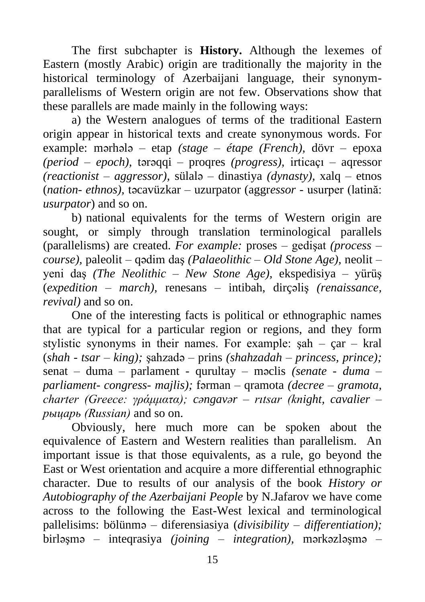The first subchapter is **History.** Although the lexemes of Eastern (mostly Arabic) origin are traditionally the majority in the historical terminology of Azerbaijani language, their synonymparallelisms of Western origin are not few. Observations show that these parallels are made mainly in the following ways:

a) the Western analogues of terms of the traditional Eastern origin appear in historical texts and create synonymous words. For example: mərhələ – etap *(stage – étape (French),* dövr – epoxa *(period – epoch),* tərəqqi – proqres *(progress),* irticaçı – aqressor *(reactionist – aggressor),* sülalə – dinastiya *(dynasty),* xalq – etnos (*nation*- *ethnos),* təcavüzkar – uzurpator (aggr*essor -* usurper (latină: *usurpator*) and so on.

b) national equivalents for the terms of Western origin are sought, or simply through translation terminological parallels (parallelisms) are created. *For example:* proses – gedişat *(process – course),* paleolit – qədim daş *(Palaeolithic – Old Stone Age),* neolit – yeni daş *(The Neolithic – New Stone Age),* ekspedisiya – yürüş (*expedition – march),* renesans – intibah, dirçəliş *(renaissance, revival)* and so on.

One of the interesting facts is political or ethnographic names that are typical for a particular region or regions, and they form stylistic synonyms in their names. For example: şah – çar – kral (*shah - tsar – king);* şahzadə – prins *(shahzadah – princess, prince);*  senat – duma – parlament - qurultay – məclis *(senate - duma – parliament- congress- majlis);* fərman – qramota *(decree – gramota, charter (Greece: γράμματα); cəngavər – rıtsar (knight, cavalier – рыцарь (Russian)* and so on.

Obviously, here much more can be spoken about the equivalence of Eastern and Western realities than parallelism. An important issue is that those equivalents, as a rule, go beyond the East or West orientation and acquire a more differential ethnographic character. Due to results of our analysis of the book *History or Autobiography of the Azerbaijani People* by N.Jafarov we have come across to the following the East-West lexical and terminological pallelisims: bölünmə *–* diferensiasiya (*divisibility – differentiation);* birləşmə – inteqrasiya *(joining – integration),* mərkəzləşmə *–*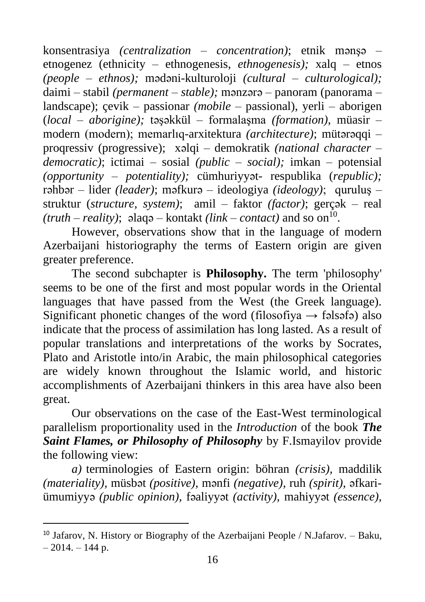konsentrasiya *(centralization – concentration)*; etnik mənşə – etnogenez (ethnicity – ethnogenesis, *ethnogenesis);* xalq – etnos *(people – ethnos);* mədəni-kulturoloji *(cultural – culturological);* daimi – stabil *(permanent – stable);* mənzərə – panoram (panorama – landscape); çevik – passionar *(mobile –* passional), yerli – aborigen (*local – aborigine);* təşəkkül – formalaşma *(formation)*, müasir – modern (modern); memarlıq-arxitektura *(architecture)*; mütərəqqi – proqressiv (progressive); xəlqi – demokratik *(national character – democratic)*; ictimai – sosial *(public – social);* imkan – potensial *(opportunity – potentiality);* cümhuriyyət- respublika (*republic);*  rəhbər – lider *(leader)*; məfkurə – ideologiya *(ideology)*; quruluş – struktur (*structure, system)*; amil – faktor *(factor)*; gerçək – real *(truth – reality)*;  $\theta$ laq $\theta$  – kontakt *(link – contact)* and so on<sup>10</sup>.

However, observations show that in the language of modern Azerbaijani historiography the terms of Eastern origin are given greater preference.

The second subchapter is **Philosophy.** The term 'philosophy' seems to be one of the first and most popular words in the Oriental languages that have passed from the West (the Greek language). Significant phonetic changes of the word (filosofiya  $\rightarrow$  fəlsəfə) also indicate that the process of assimilation has long lasted. As a result of popular translations and interpretations of the works by Socrates, Plato and Aristotle into/in Arabic, the main philosophical categories are widely known throughout the Islamic world, and historic accomplishments of Azerbaijani thinkers in this area have also been great.

Our observations on the case of the East-West terminological parallelism proportionality used in the *Introduction* of the book *The Saint Flames, or Philosophy of Philosophy* by F.Ismayilov provide the following view:

*a)* terminologies of Eastern origin: böhran *(crisis),* maddilik *(materiality),* müsbət *(positive),* mənfi *(negative),* ruh *(spirit),* əfkariümumiyyə *(public opinion),* fəaliyyət *(activity),* mahiyyət *(essence),* 

<sup>&</sup>lt;sup>10</sup> Jafarov, N. History or Biography of the Azerbaijani People / N. Jafarov. – Baku,  $-2014. - 144$  p.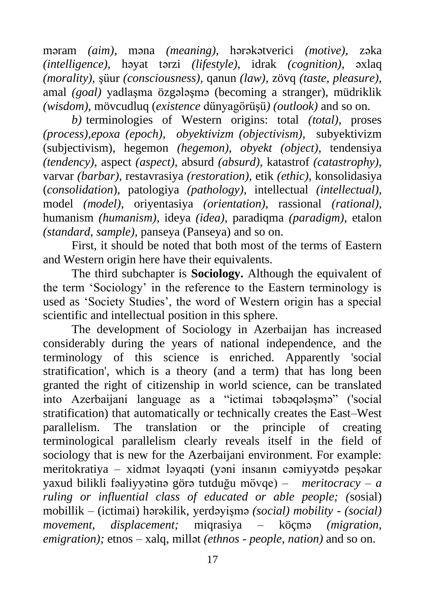məram *(aim),* məna *(meaning),* hərəkətverici *(motive),* zəka *(intelligence),* həyat tərzi *(lifestyle),* idrak *(cognition),* əxlaq *(morality),* şüur *(consciousness),* qanun *(law),* zövq *(taste, pleasure),*  amal *(goal)* yadlaşma özgələşmə (becoming a stranger), müdriklik *(wisdom),* mövcudluq (*existence* dünyagörüşü*) (outlook)* and so on.

*b)* terminologies of Western origins: total *(total),* proses *(process),epoxa (epoch), obyektivizm (objectivism),* subyektivizm (subjectivism), hegemon *(hegemon)*, *obyekt (object)*, tendensiya *(tendency),* aspect *(aspect),* absurd *(absurd),* katastrof *(catastrophy),*  varvar *(barbar),* restavrasiya *(restoration),* etik *(ethic),* konsolidasiya (*consolidation*), patologiya *(pathology),* intellectual *(intellectual),* model *(model)*, oriyentasiya *(orientation),* rassional *(rational),* humanism *(humanism),* ideya *(idea),* paradiqma *(paradigm),* etalon *(standard, sample),* panseya (Panseya) and so on.

First, it should be noted that both most of the terms of Eastern and Western origin here have their equivalents.

The third subchapter is **Sociology.** Although the equivalent of the term 'Sociology' in the reference to the Eastern terminology is used as 'Society Studies', the word of Western origin has a special scientific and intellectual position in this sphere.

The development of Sociology in Azerbaijan has increased considerably during the years of national independence, and the terminology of this science is enriched. Apparently 'social stratification', which is a theory (and a term) that has long been granted the right of citizenship in world science, can be translated into Azerbaijani language as a "ictimai təbəqələşmə" ('social stratification) that automatically or technically creates the East–West parallelism. The translation or the principle of creating terminological parallelism clearly reveals itself in the field of sociology that is new for the Azerbaijani environment. For example: meritokratiya – xidmət ləyaqəti (yəni insanın cəmiyyətdə peşəkar yaxud bilikli fəaliyyətinə görə tutduğu mövqe) – *meritocracy* – *a ruling or influential class of educated or able people; (*sosial) mobillik – (ictimai) hərəkilik, yerdəyişmə *(social) mobility - (social) movement, displacement;* miqrasiya – köçmə *(migration, emigration);* etnos – xalq, millət *(ethnos - people, nation)* and so on.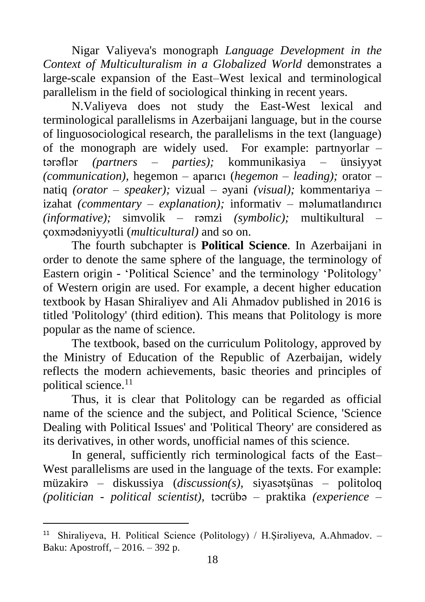Nigar Valiyeva's monograph *Language Development in the Context of Multiculturalism in a Globalized World* demonstrates a large-scale expansion of the East–West lexical and terminological parallelism in the field of sociological thinking in recent years.

N.Valiyeva does not study the East-West lexical and terminological parallelisms in Azerbaijani language, but in the course of linguosociological research, the parallelisms in the text (language) of the monograph are widely used. For example: partnyorlar – tərəflər *(partners – parties);* kommunikasiya – ünsiyyət *(communication),* hegemon – aparıcı (*hegemon – leading);* orator – natiq *(orator – speaker);* vizual – əyani *(visual);* kommentariya – izahat *(commentary – explanation);* informativ – məlumatlandırıcı *(informative);* simvolik – rəmzi *(symbolic);* multikultural – çoxmədəniyyətli (*multicultural)* and so on.

The fourth subchapter is **Political Science**. In Azerbaijani in order to denote the same sphere of the language, the terminology of Eastern origin - 'Political Science' and the terminology 'Politology' of Western origin are used. For example, a decent higher education textbook by Hasan Shiraliyev and Ali Ahmadov published in 2016 is titled 'Politology' (third edition). This means that Politology is more popular as the name of science.

The textbook, based on the curriculum Politology, approved by the Ministry of Education of the Republic of Azerbaijan, widely reflects the modern achievements, basic theories and principles of political science.<sup>11</sup>

Thus, it is clear that Politology can be regarded as official name of the science and the subject, and Political Science, 'Science Dealing with Political Issues' and 'Political Theory' are considered as its derivatives, in other words, unofficial names of this science.

In general, sufficiently rich terminological facts of the East– West parallelisms are used in the language of the texts. For example: müzakirə – diskussiya (*discussion(s),* siyasətşünas – politoloq *(politician - political scientist),* təcrübə – praktika *(experience –*

<sup>11</sup> Shiraliyeva, H. Political Science (Politology) / H.Şirəliyeva, A.Ahmadov. – Baku: Apostroff, – 2016. – 392 p.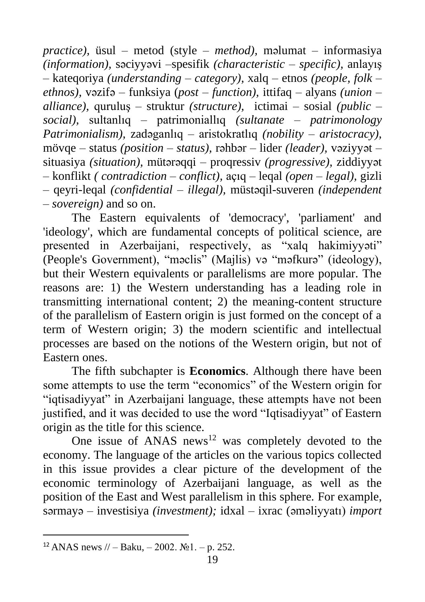*practice),* üsul – metod (style – *method),* məlumat – informasiya *(information),* səciyyəvi –spesifik *(characteristic – specific),* anlayış – kateqoriya *(understanding – category),* xalq – etnos *(people, folk – ethnos),* vəzifə – funksiya (*post – function),* ittifaq – alyans *(union – alliance),* quruluş – struktur *(structure),* ictimai – sosial *(public – social),* sultanlıq – patrimoniallıq *(sultanate – patrimonology Patrimonialism),* zadəganlıq – aristokratlıq *(nobility – aristocracy),*  mövqe – status *(position – status),* rəhbər – lider *(leader),* vəziyyət – situasiya *(situation),* mütərəqqi – proqressiv *(progressive),* ziddiyyət – konflikt *( contradiction – conflict),* açıq – leqal *(open – legal),* gizli – qeyri-leqal *(confidential – illegal),* müstəqil-suveren *(independent – sovereign)* and so on.

The Eastern equivalents of 'democracy', 'parliament' and 'ideology', which are fundamental concepts of political science, are presented in Azerbaijani, respectively, as "xalq hakimiyyəti" (People's Government), "məclis" (Majlis) və "məfkurə" (ideology), but their Western equivalents or parallelisms are more popular. The reasons are: 1) the Western understanding has a leading role in transmitting international content; 2) the meaning-content structure of the parallelism of Eastern origin is just formed on the concept of a term of Western origin; 3) the modern scientific and intellectual processes are based on the notions of the Western origin, but not of Eastern ones.

The fifth subchapter is **Economics**. Although there have been some attempts to use the term "economics" of the Western origin for "iqtisadiyyat" in Azerbaijani language, these attempts have not been justified, and it was decided to use the word "Iqtisadiyyat" of Eastern origin as the title for this science.

One issue of  $ANAS$  news<sup>12</sup> was completely devoted to the economy. The language of the articles on the various topics collected in this issue provides a clear picture of the development of the economic terminology of Azerbaijani language, as well as the position of the East and West parallelism in this sphere. For example, sərmayə – investisiya *(investment);* idxal – ixrac (əməliyyatı) *import* 

 $12$  ANAS news  $//-$  Baku,  $-2002$ . No  $1. - p$ . 252.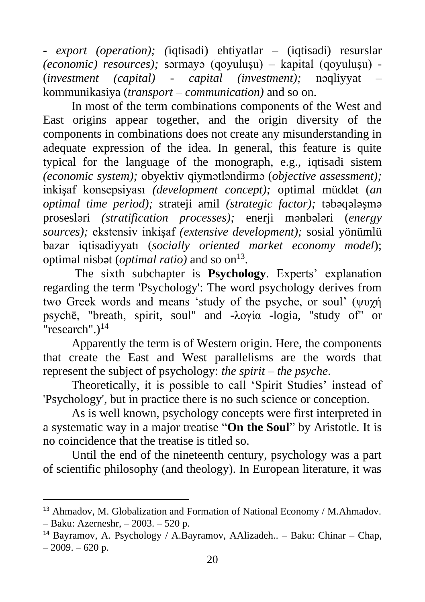*- export (operation); (*iqtisadi) ehtiyatlar – (iqtisadi) resurslar *(economic) resources);* sərmayə (qoyuluşu) – kapital (qoyuluşu) - (*investment (capital) - capital (investment);* nəqliyyat – kommunikasiya (*transport – communication)* and so on.

In most of the term combinations components of the West and East origins appear together, and the origin diversity of the components in combinations does not create any misunderstanding in adequate expression of the idea. In general, this feature is quite typical for the language of the monograph, e.g., iqtisadi sistem *(economic system);* obyektiv qiymətləndirmə (*objective assessment);*  inkişaf konsepsiyası *(development concept);* optimal müddət (*an optimal time period);* strateji amil *(strategic factor);* təbəqələşmə prosesləri *(stratification processes);* enerji mənbələri (*energy sources);* ekstensiv inkişaf *(extensive development);* sosial yönümlü bazar iqtisadiyyatı (*socially oriented market economy model*); optimal nisbət (*optimal ratio*) and so on<sup>13</sup>.

The sixth subchapter is **Psychology**. Experts' explanation regarding the term 'Psychology': The word psychology derives from two Greek words and means 'study of the psyche, or soul' (ψυχή psychē, "breath, spirit, soul" and -λογία -logia, "study of" or "research".) $^{14}$ 

Apparently the term is of Western origin. Here, the components that create the East and West parallelisms are the words that represent the subject of psychology: *the spirit – the psyche*.

Theoretically, it is possible to call 'Spirit Studies' instead of 'Psychology', but in practice there is no such science or conception.

As is well known, psychology concepts were first interpreted in a systematic way in a major treatise "**On the Soul**" by Aristotle. It is no coincidence that the treatise is titled so.

Until the end of the nineteenth century, psychology was a part of scientific philosophy (and theology). In European literature, it was

<sup>13</sup> Ahmadov, M. Globalization and Formation of National Economy / M.Ahmadov. – Baku: Azerneshr, – 2003. – 520 p.

<sup>&</sup>lt;sup>14</sup> Bayramov, A. Psychology / A.Bayramov, AAlizadeh.. – Baku: Chinar – Chap,  $-2009. -620$  p.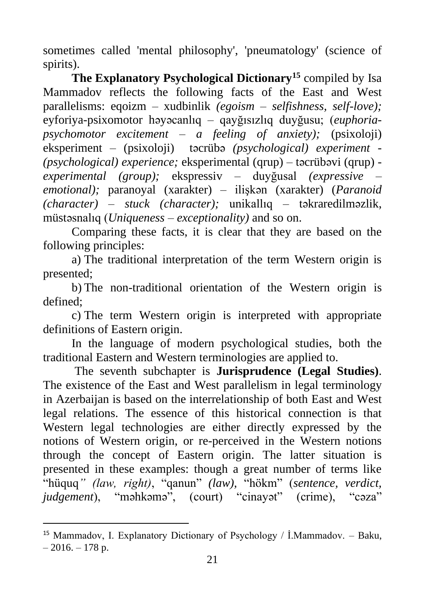sometimes called 'mental philosophy', 'pneumatology' (science of spirits).

**The Explanatory Psychological Dictionary<sup>15</sup>** compiled by Isa Mammadov reflects the following facts of the East and West parallelisms: eqoizm – xudbinlik *(egoism – selfishness, self-love);*  eyforiya-psixomotor həyəcanlıq – qayğısızlıq duyğusu; (*euphoriapsychomotor excitement – a feeling of anxiety);* (psixoloji) eksperiment – (psixoloji) təcrübə *(psychological) experiment - (psychological) experience;* eksperimental (qrup) – təcrübəvi (qrup) *experimental (group);* ekspressiv – duyğusal *(expressive – emotional);* paranoyal (xarakter) – ilişkən (xarakter) (*Paranoid (character) – stuck (character);* unikallıq – təkraredilməzlik, müstəsnalıq (*Uniqueness – exceptionality)* and so on.

Comparing these facts, it is clear that they are based on the following principles:

a) The traditional interpretation of the term Western origin is presented;

b) The non-traditional orientation of the Western origin is defined;

c) The term Western origin is interpreted with appropriate definitions of Eastern origin.

In the language of modern psychological studies, both the traditional Eastern and Western terminologies are applied to.

The seventh subchapter is **Jurisprudence (Legal Studies)**. The existence of the East and West parallelism in legal terminology in Azerbaijan is based on the interrelationship of both East and West legal relations. The essence of this historical connection is that Western legal technologies are either directly expressed by the notions of Western origin, or re-perceived in the Western notions through the concept of Eastern origin. The latter situation is presented in these examples: though a great number of terms like "hüquq*" (law, right)*, "qanun" *(law),* "hökm" (*sentence, verdict, judgement*), "məhkəmə", (court) "cinayət" (crime), "cəza"

<sup>&</sup>lt;sup>15</sup> Mammadov, I. Explanatory Dictionary of Psychology / İ.Mammadov. – Baku,  $-2016. - 178$  p.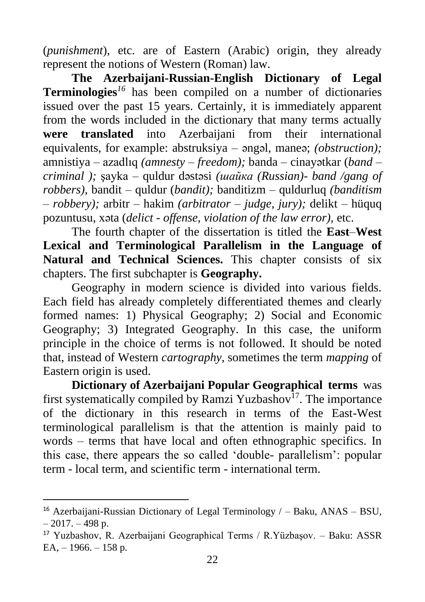(*punishment*), etc. are of Eastern (Arabic) origin, they already represent the notions of Western (Roman) law.

**The Azerbaijani-Russian-English Dictionary of Legal Terminologies***<sup>16</sup>* has been compiled on a number of dictionaries issued over the past 15 years. Certainly, it is immediately apparent from the words included in the dictionary that many terms actually were translated into Azerbaijani from their international equivalents, for example: abstruksiya – əngəl, maneə; *(obstruction);*  amnistiya – azadlıq *(amnesty – freedom);* banda – cinayətkar (*band – criminal );* şayka – quldur dəstəsi *(шайка (Russian)- band /gang of robbers),* bandit – quldur (*bandit);* banditizm – quldurluq *(banditism – robbery);* arbitr – hakim *(arbitrator – judge, jury);* delikt – hüquq pozuntusu, xəta (*delict - offense, violation of the law error),* etc.

The fourth chapter of the dissertation is titled the **East**–**West Lexical and Terminological Parallelism in the Language of Natural and Technical Sciences.** This chapter consists of six chapters. The first subchapter is **Geography.**

Geography in modern science is divided into various fields. Each field has already completely differentiated themes and clearly formed names: 1) Physical Geography; 2) Social and Economic Geography; 3) Integrated Geography. In this case, the uniform principle in the choice of terms is not followed. It should be noted that, instead of Western *cartography*, sometimes the term *mapping* of Eastern origin is used.

**Dictionary of Azerbaijani Popular Geographical terms** was first systematically compiled by Ramzi Yuzbashov<sup>17</sup>. The importance of the dictionary in this research in terms of the East-West terminological parallelism is that the attention is mainly paid to words – terms that have local and often ethnographic specifics. In this case, there appears the so called 'double- parallelism': popular term - local term, and scientific term - international term.

<sup>&</sup>lt;sup>16</sup> Azerbaijani-Russian Dictionary of Legal Terminology  $/ -$  Baku, ANAS – BSU,  $-2017. -498$  p.

<sup>&</sup>lt;sup>17</sup> Yuzbashov, R. Azerbaijani Geographical Terms / R. Yüzbasov. – Baku: ASSR EA,  $-1966$ .  $-158$  p.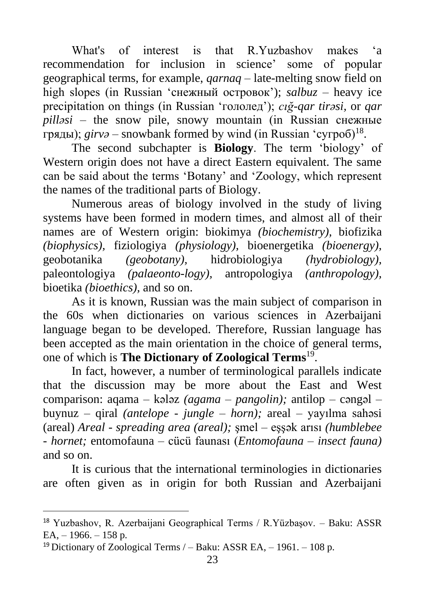What's of interest is that R.Yuzbashov makes 'a recommendation for inclusion in science' some of popular geographical terms, for example, *qarnaq* – late-melting snow field on high slopes (in Russian 'снежный островок'); *salbuz* – heavy ice precipitation on things (in Russian 'гололед'); *cığ-qar tirəsi,* or *qar pilləsi* – the snow pile, snowy mountain (in Russian снежные гряды); *girvə* – snowbank formed by wind (in Russian 'сугроб)<sup>18</sup> .

The second subchapter is **Biology**. The term 'biology' of Western origin does not have a direct Eastern equivalent. The same can be said about the terms 'Botany' and 'Zoology, which represent the names of the traditional parts of Biology.

Numerous areas of biology involved in the study of living systems have been formed in modern times, and almost all of their names are of Western origin: biokimya *(biochemistry),* biofizika *(biophysics),* fiziologiya *(physiology),* bioenergetika *(bioenergy),*  geobotanika *(geobotany),* hidrobiologiya *(hydrobiology),*  paleontologiya *(palaeonto-logy),* antropologiya *(anthropology),*  bioetika *(bioethics),* and so on.

As it is known, Russian was the main subject of comparison in the 60s when dictionaries on various sciences in Azerbaijani language began to be developed. Therefore, Russian language has been accepted as the main orientation in the choice of general terms, one of which is **The Dictionary of Zoological Terms**<sup>19</sup> .

In fact, however, a number of terminological parallels indicate that the discussion may be more about the East and West comparison: aqama – kələz *(agama – pangolin);* antilop – cəngəl – buynuz – qiral *(antelope - jungle – horn);* areal – yayılma sahəsi (areal) *Areal - spreading area (areal);* şmel – eşşək arısı *(humblebee - hornet;* entomofauna – cücü faunası (*Entomofauna – insect fauna)*  and so on.

It is curious that the international terminologies in dictionaries are often given as in origin for both Russian and Azerbaijani

<sup>18</sup> Yuzbashov, R. Azerbaijani Geographical Terms / R.Yüzbaşov. – Baku: ASSR EA,  $-1966. - 158$  p.

<sup>&</sup>lt;sup>19</sup> Dictionary of Zoological Terms / – Baku: ASSR EA, – 1961. – 108 p.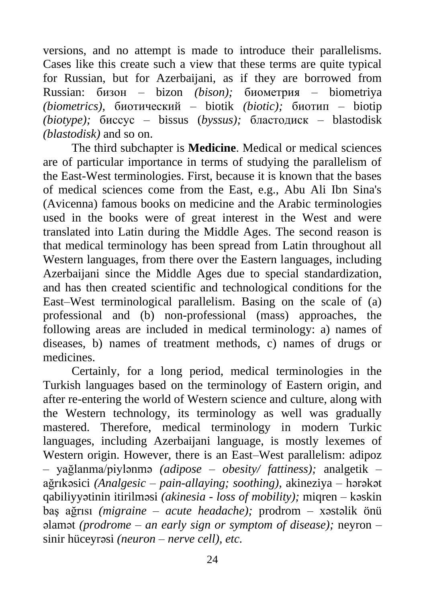versions, and no attempt is made to introduce their parallelisms. Cases like this create such a view that these terms are quite typical for Russian, but for Azerbaijani, as if they are borrowed from Russian: бизон – bizon *(bison);* биометрия – biometriya *(biometrics),* биотический – biotik *(biotic);* биотип – biotip *(biotype);* биссус – bissus (*byssus);* бластодиск – blastodisk *(blastodisk)* and so on.

The third subchapter is **Medicine**. Medical or medical sciences are of particular importance in terms of studying the parallelism of the East-West terminologies. First, because it is known that the bases of medical sciences come from the East, e.g., Abu Ali Ibn Sina's (Avicenna) famous books on medicine and the Arabic terminologies used in the books were of great interest in the West and were translated into Latin during the Middle Ages. The second reason is that medical terminology has been spread from Latin throughout all Western languages, from there over the Eastern languages, including Azerbaijani since the Middle Ages due to special standardization, and has then created scientific and technological conditions for the East–West terminological parallelism. Basing on the scale of (a) professional and (b) non-professional (mass) approaches, the following areas are included in medical terminology: a) names of diseases, b) names of treatment methods, c) names of drugs or medicines.

Certainly, for a long period, medical terminologies in the Turkish languages based on the terminology of Eastern origin, and after re-entering the world of Western science and culture, along with the Western technology, its terminology as well was gradually mastered. Therefore, medical terminology in modern Turkic languages, including Azerbaijani language, is mostly lexemes of Western origin. However, there is an East–West parallelism: adipoz – yağlanma/piylənmə *(adipose – obesity/ fattiness);* analgetik – ağrıkəsici *(Analgesic – pain-allaying; soothing),* akineziya – hərəkət qabiliyyətinin itirilməsi *(akinesia - loss of mobility);* miqren – kəskin baş ağrısı *(migraine – acute headache);* prodrom – xəstəlik önü əlamət *(prodrome – an early sign or symptom of disease);* neyron – sinir hüceyrəsi *(neuron – nerve cell), etc.*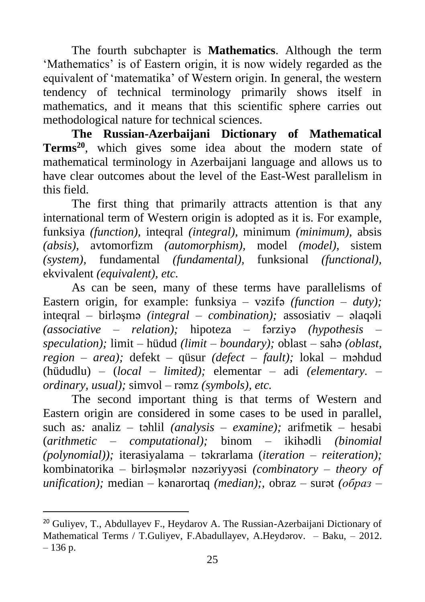The fourth subchapter is **Mathematics**. Although the term 'Mathematics' is of Eastern origin, it is now widely regarded as the equivalent of 'matematika' of Western origin. In general, the western tendency of technical terminology primarily shows itself in mathematics, and it means that this scientific sphere carries out methodological nature for technical sciences.

**The Russian-Azerbaijani Dictionary of Mathematical Terms<sup>20</sup>**, which gives some idea about the modern state of mathematical terminology in Azerbaijani language and allows us to have clear outcomes about the level of the East-West parallelism in this field.

The first thing that primarily attracts attention is that any international term of Western origin is adopted as it is. For example, funksiya *(function),* inteqral *(integral),* minimum *(minimum),* absis *(absis),* avtomorfizm *(automorphism),* model *(model),* sistem *(system),* fundamental *(fundamental),* funksional *(functional),*  ekvivalent *(equivalent), etc.*

As can be seen, many of these terms have parallelisms of Eastern origin, for example: funksiya – vəzifə *(function – duty);*  inteqral – birləşmə *(integral – combination);* assosiativ – əlaqəli *(associative – relation);* hipoteza – fərziyə *(hypothesis – speculation);* limit – hüdud *(limit* – *boundary);* oblast – sahə *(oblast, region – area);* defekt – qüsur *(defect – fault);* lokal – məhdud (hüdudlu) – (*local – limited);* elementar – adi *(elementary. – ordinary, usual);* simvol – rəmz *(symbols), etc.*

The second important thing is that terms of Western and Eastern origin are considered in some cases to be used in parallel, such as*:* analiz – təhlil *(analysis – examine);* arifmetik – hesabi (*arithmetic – computational);* binom – ikihədli *(binomial (polynomial));* iterasiyalama – təkrarlama (*iteration – reiteration);*  kombinatorika – birləşmələr nəzəriyyəsi *(combinatory – theory of unification);* median – kənarortaq *(median);,* obraz – surət *(образ –*

<sup>&</sup>lt;sup>20</sup> Guliyev, T., Abdullayev F., Heydarov A. The Russian-Azerbaijani Dictionary of Mathematical Terms / T.Guliyev, F.Abadullayev, A.Heydərov. – Baku, – 2012.  $-136$  p.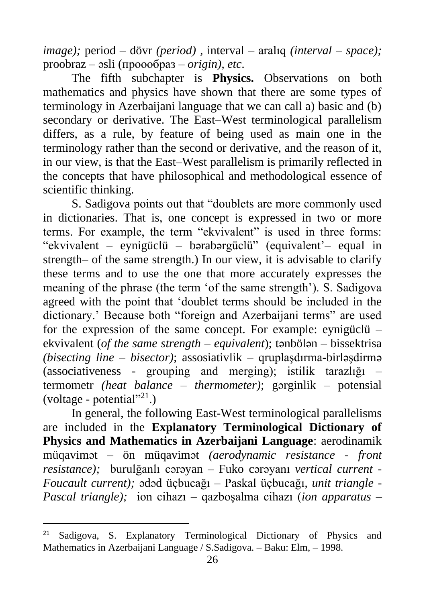*image);* period – dövr *(period) ,* interval – aralıq *(interval – space);*  proobraz – əsli (проообраз *– origin), etc*.

The fifth subchapter is **Physics.** Observations on both mathematics and physics have shown that there are some types of terminology in Azerbaijani language that we can call a) basic and (b) secondary or derivative. The East–West terminological parallelism differs, as a rule, by feature of being used as main one in the terminology rather than the second or derivative, and the reason of it, in our view, is that the East–West parallelism is primarily reflected in the concepts that have philosophical and methodological essence of scientific thinking.

S. Sadigova points out that "doublets are more commonly used in dictionaries. That is, one concept is expressed in two or more terms. For example, the term "ekvivalent" is used in three forms: "ekvivalent – eynigüclü – bərabərgüclü" (equivalent'– equal in strength– of the same strength.) In our view, it is advisable to clarify these terms and to use the one that more accurately expresses the meaning of the phrase (the term 'of the same strength'). S. Sadigova agreed with the point that 'doublet terms should be included in the dictionary.' Because both "foreign and Azerbaijani terms" are used for the expression of the same concept. For example: eynigüclü – ekvivalent (*of the same strength – equivalent*); tənbölən – bissektrisa *(bisecting line – bisector)*; assosiativlik – qruplaşdırma-birləşdirmə (associativeness - grouping and merging); istilik tarazlığı – termometr *(heat balance – thermometer)*; gərginlik – potensial (voltage - potential $"^{21}$ .)

In general, the following East-West terminological parallelisms are included in the **Explanatory Terminological Dictionary of Physics and Mathematics in Azerbaijani Language**: aerodinamik müqavimət – ön müqavimət *(aerodynamic resistance - front resistance);* burulğanlı cərəyan – Fuko cərəyanı *vertical current - Foucault current);* ədəd üçbucağı – Paskal üçbucağı*, unit triangle - Pascal triangle);* ion cihazı – qazboşalma cihazı (*ion apparatus –*

<sup>&</sup>lt;sup>21</sup> Sadigova, S. Explanatory Terminological Dictionary of Physics and Mathematics in Azerbaijani Language / S.Sadigova. – Baku: Elm, – 1998.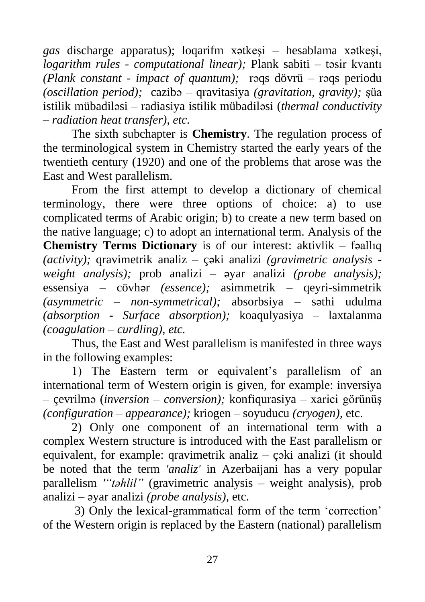*gas* discharge apparatus); loqarifm xətkeşi – hesablama xətkeşi, *logarithm rules - computational linear);* Plank sabiti – təsir kvantı *(Plank constant - impact of quantum);* rəqs dövrü – rəqs periodu *(oscillation period);* cazibə – qravitasiya *(gravitation, gravity);* şüa istilik mübadiləsi – radiasiya istilik mübadiləsi (*thermal conductivity*  – *radiation heat transfer), etc.*

The sixth subchapter is **Chemistry**. The regulation process of the terminological system in Chemistry started the early years of the twentieth century (1920) and one of the problems that arose was the East and West parallelism.

From the first attempt to develop a dictionary of chemical terminology, there were three options of choice: a) to use complicated terms of Arabic origin; b) to create a new term based on the native language; c) to adopt an international term. Analysis of the **Chemistry Terms Dictionary** is of our interest: aktivlik – fəallıq *(activity);* qravimetrik analiz – çəki analizi *(gravimetric analysis weight analysis);* prob analizi – əyar analizi *(probe analysis);*  essensiya – cövhər *(essence);* asimmetrik – qeyri-simmetrik *(asymmetric – non-symmetrical);* absorbsiya – səthi udulma *(absorption - Surface absorption);* koaqulyasiya – laxtalanma *(coagulation – curdling), etc.*

Thus, the East and West parallelism is manifested in three ways in the following examples:

1) The Eastern term or equivalent's parallelism of an international term of Western origin is given, for example: inversiya – çevrilmə (*inversion – conversion);* konfiqurasiya – xarici görünüş *(configuration – appearance);* kriogen – soyuducu *(cryogen),* etc.

2) Only one component of an international term with a complex Western structure is introduced with the East parallelism or equivalent, for example: qravimetrik analiz – çəki analizi (it should be noted that the term *'analiz'* in Azerbaijani has a very popular parallelism *'"təhlil"* (gravimetric analysis – weight analysis), prob analizi – əyar analizi *(probe analysis)*, etc.

3) Only the lexical-grammatical form of the term 'correction' of the Western origin is replaced by the Eastern (national) parallelism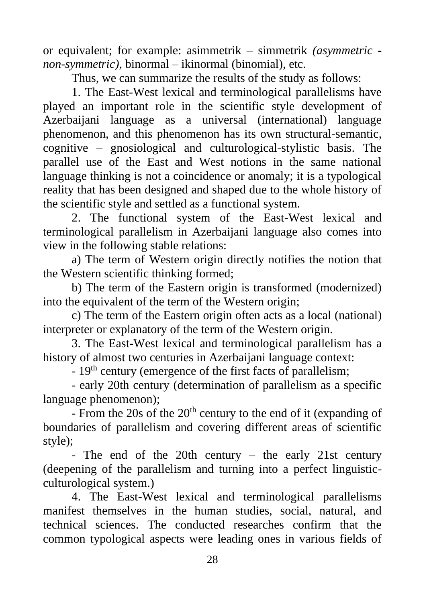or equivalent; for example: asimmetrik – simmetrik *(asymmetric non-symmetric),* binormal – ikinormal (binomial), etc.

Thus, we can summarize the results of the study as follows:

1. The East-West lexical and terminological parallelisms have played an important role in the scientific style development of Azerbaijani language as a universal (international) language phenomenon, and this phenomenon has its own structural-semantic, cognitive – gnosiological and culturological-stylistic basis. The parallel use of the East and West notions in the same national language thinking is not a coincidence or anomaly; it is a typological reality that has been designed and shaped due to the whole history of the scientific style and settled as a functional system.

2. The functional system of the East-West lexical and terminological parallelism in Azerbaijani language also comes into view in the following stable relations:

a) The term of Western origin directly notifies the notion that the Western scientific thinking formed;

b) The term of the Eastern origin is transformed (modernized) into the equivalent of the term of the Western origin;

c) The term of the Eastern origin often acts as a local (national) interpreter or explanatory of the term of the Western origin.

3. The East-West lexical and terminological parallelism has a history of almost two centuries in Azerbaijani language context:

- 19<sup>th</sup> century (emergence of the first facts of parallelism;

- early 20th century (determination of parallelism as a specific language phenomenon);

- From the 20s of the  $20<sup>th</sup>$  century to the end of it (expanding of boundaries of parallelism and covering different areas of scientific style);

- The end of the 20th century – the early 21st century (deepening of the parallelism and turning into a perfect linguisticculturological system.)

4. The East-West lexical and terminological parallelisms manifest themselves in the human studies, social, natural, and technical sciences. The conducted researches confirm that the common typological aspects were leading ones in various fields of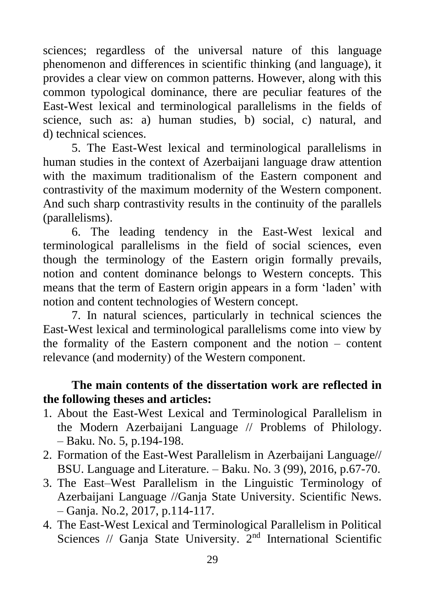sciences; regardless of the universal nature of this language phenomenon and differences in scientific thinking (and language), it provides a clear view on common patterns. However, along with this common typological dominance, there are peculiar features of the East-West lexical and terminological parallelisms in the fields of science, such as: a) human studies, b) social, c) natural, and d) technical sciences.

5. The East-West lexical and terminological parallelisms in human studies in the context of Azerbaijani language draw attention with the maximum traditionalism of the Eastern component and contrastivity of the maximum modernity of the Western component. And such sharp contrastivity results in the continuity of the parallels (parallelisms).

6. The leading tendency in the East-West lexical and terminological parallelisms in the field of social sciences, even though the terminology of the Eastern origin formally prevails, notion and content dominance belongs to Western concepts. This means that the term of Eastern origin appears in a form 'laden' with notion and content technologies of Western concept.

7. In natural sciences, particularly in technical sciences the East-West lexical and terminological parallelisms come into view by the formality of the Eastern component and the notion – content relevance (and modernity) of the Western component.

#### **The main contents of the dissertation work are reflected in the following theses and articles:**

- 1. About the East-West Lexical and Terminological Parallelism in the Modern Azerbaijani Language // Problems of Philology. – Baku. No. 5, p.194-198.
- 2. Formation of the East-West Parallelism in Azerbaijani Language// BSU. Language and Literature. – Baku. No. 3 (99), 2016, p.67-70.
- 3. The East–West Parallelism in the Linguistic Terminology of Azerbaijani Language //Ganja State University. Scientific News. – Ganja. No.2, 2017, p.114-117.
- 4. The East-West Lexical and Terminological Parallelism in Political Sciences // Ganja State University.  $2<sup>nd</sup>$  International Scientific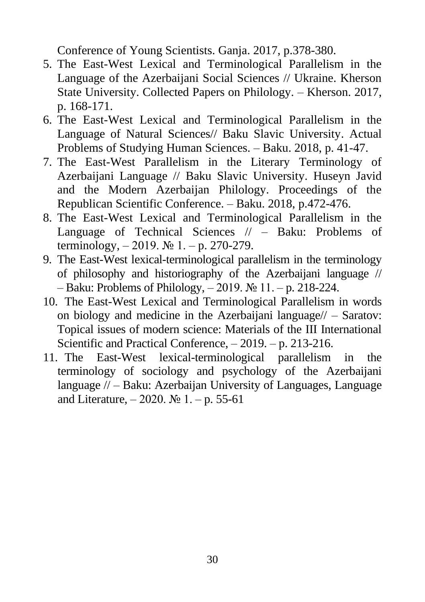Conference of Young Scientists. Ganja. 2017, p.378-380.

- 5. The East-West Lexical and Terminological Parallelism in the Language of the Azerbaijani Social Sciences // Ukraine. Kherson State University. Collected Papers on Philology. – Kherson. 2017, p. 168-171.
- 6. The East-West Lexical and Terminological Parallelism in the Language of Natural Sciences// Baku Slavic University. Actual Problems of Studying Human Sciences. – Baku. 2018, p. 41-47.
- 7. The East-West Parallelism in the Literary Terminology of Azerbaijani Language // Baku Slavic University. Huseyn Javid and the Modern Azerbaijan Philology. Proceedings of the Republican Scientific Conference. – Baku. 2018, p.472-476.
- 8. The East-West Lexical and Terminological Parallelism in the Language of Technical Sciences // – Baku: Problems of terminology,  $-2019$ .  $\mathbb{N}$ <sup>o</sup> 1. – p. 270-279.
- 9. The East-West lexical-terminological parallelism in the terminology of philosophy and historiography of the Azerbaijani language // – Baku: Problems of Philology, – 2019. № 11. – p. 218-224.
- 10. The East-West Lexical and Terminological Parallelism in words on biology and medicine in the Azerbaijani language// – Saratov: Topical issues of modern science: Materials of the III International Scientific and Practical Conference, – 2019. – p. 213-216.
- 11. The East-West lexical-terminological parallelism in the terminology of sociology and psychology of the Azerbaijani language // – Baku: Azerbaijan University of Languages, Language and Literature,  $-2020$ . No 1. – p. 55-61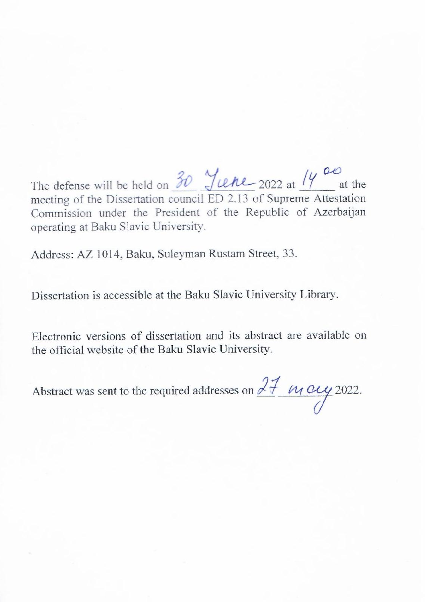$T$  defense will be defense will be defined on  $\mathcal{L}_\mathcal{A}$  $m_{\rm c}$  meeting  $\frac{20}{3}$  Y<sub>10</sub> he 2000, 14  $\sim$ de defense will be field on  $\frac{1}{\sqrt{2}} \frac{1}{\sqrt{2}}$  and  $\frac{1}{\sqrt{2}}$  at the Azerbai in Azerbai in Azerbai in Azerbai in Azerbai in Azerbai in Azerbai in Azerbai in Azerbai in Azerbai in Azerbai in Azerbai in Azerbai in Aze meeting of the Dissertation council ED 2.13 of Supreme Attestation<br>Commission under the President of the Republic of Azerbaijan operating at Baku Slavic University.

Address: AZ 1014, Baku, Suleyman Rustam Street, 33.

Dissertation is accessible at the Baku Slavic University Library.

Electronic versions of dissertation and its abstract are available on the official website of the Baku Slavic University.

Abstract was sent to the required addresses on  $27$   $\mu$  Oey 2022.